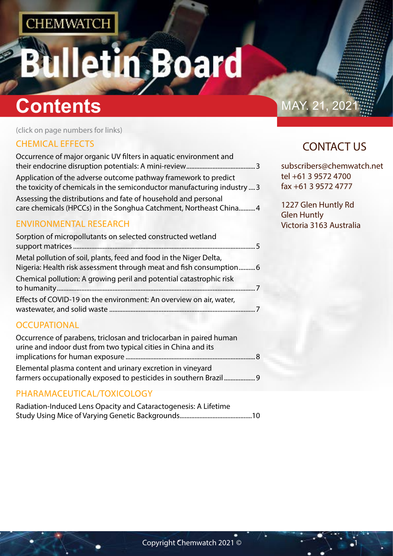# etin Board Ŧ

# **Contents** MAY. 21, 20

(click on page numbers for links)

### [CHEMICAL EFFECTS](#page-1-0)

| Occurrence of major organic UV filters in aquatic environment and                                                                   |
|-------------------------------------------------------------------------------------------------------------------------------------|
|                                                                                                                                     |
| Application of the adverse outcome pathway framework to predict                                                                     |
| the toxicity of chemicals in the semiconductor manufacturing industry  3                                                            |
| Assessing the distributions and fate of household and personal<br>care chemicals (HPCCs) in the Songhua Catchment, Northeast China4 |

#### [ENVIRONMENTAL RESEARCH](#page-2-0)

| Sorption of micropollutants on selected constructed wetland                                                                               |  |
|-------------------------------------------------------------------------------------------------------------------------------------------|--|
| Metal pollution of soil, plants, feed and food in the Niger Delta,<br>Nigeria: Health risk assessment through meat and fish consumption 6 |  |
| Chemical pollution: A growing peril and potential catastrophic risk                                                                       |  |
| Effects of COVID-19 on the environment: An overview on air, water,                                                                        |  |

#### **[OCCUPATIONAL](#page-3-0)**

| Occurrence of parabens, triclosan and triclocarban in paired human |  |
|--------------------------------------------------------------------|--|
| urine and indoor dust from two typical cities in China and its     |  |
|                                                                    |  |
| Elemental plasma content and urinary excretion in vineyard         |  |
| farmers occupationally exposed to pesticides in southern Brazil 9  |  |

### [PHARAMACEUTICAL/TOXICOLOGY](#page-4-0)

| Radiation-Induced Lens Opacity and Cataractogenesis: A Lifetime |  |
|-----------------------------------------------------------------|--|
|                                                                 |  |

## CONTACT US

subscribers@chemwatch.net tel +61 3 9572 4700 fax +61 3 9572 4777

1227 Glen Huntly Rd Glen Huntly Victoria 3163 Australia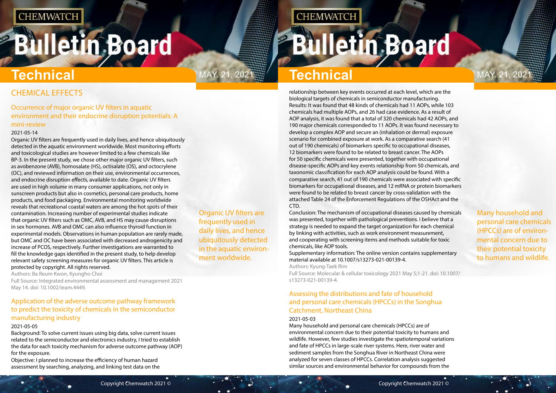# <span id="page-1-0"></span>**Bulletin Board**

Organic UV filters are frequently used in daily lives, and hence ubiquitously detected in the aquatic environment worldwide.

May. 21, 2021 May. 21, 2021 **Technical**

Many household and personal care chemicals (HPCCs) are of environmental concern due to their potential toxicity to humans and wildlife.

## CHEMICAL EFFECTS

#### Occurrence of major organic UV filters in aquatic environment and their endocrine disruption potentials: A mini-review

#### 2021-05-14

Organic UV filters are frequently used in daily lives, and hence ubiquitously detected in the aquatic environment worldwide. Most monitoring efforts and toxicological studies are however limited to a few chemicals like BP-3. In the present study, we chose other major organic UV filters, such as avobenzone (AVB), homosalate (HS), octisalate (OS), and octocrylene (OC), and reviewed information on their use, environmental occurrences, and endocrine disruption effects, available to date. Organic UV filters are used in high volume in many consumer applications, not only in sunscreen products but also in cosmetics, personal care products, home products, and food packaging. Environmental monitoring worldwide reveals that recreational coastal waters are among the hot spots of their contamination. Increasing number of experimental studies indicate that organic UV filters such as OMC, AVB, and HS may cause disruptions in sex hormones. AVB and OMC can also influence thyroid function in experimental models. Observations in human population are rarely made, but OMC and OC have been associated with decreased androgenicity and increase of PCOS, respectively. Further investigations are warranted to fill the knowledge gaps identified in the present study, to help develop relevant safety screening measures for organic UV filters. This article is protected by copyright. All rights reserved.

Authors: Ba Reum Kwon, Kyungho Choi

Full Source: Integrated environmental assessment and management 2021 May 14. doi: 10.1002/ieam.4449.

### Application of the adverse outcome pathway framework to predict the toxicity of chemicals in the semiconductor manufacturing industry

#### 2021-05-05

Background: To solve current issues using big data, solve current issues related to the semiconductor and electronics industry, I tried to establish the data for each toxicity mechanism for adverse outcome pathway (AOP) for the exposure.

Objective: I planned to increase the efficiency of human hazard assessment by searching, analyzing, and linking test data on the

**CHEMWATCH** 

# **Technical**

relationship between key events occurred at each level, which are the biological targets of chemicals in semiconductor manufacturing. Results: It was found that 48 kinds of chemicals had 11 AOPs, while 103 chemicals had multiple AOPs, and 26 had case evidence. As a result of AOP analysis, it was found that a total of 320 chemicals had 42 AOPs, and 190 major chemicals corresponded to 11 AOPs. It was found necessary to develop a complex AOP and secure an (inhalation or dermal) exposure scenario for combined exposure at work. As a comparative search (41 out of 190 chemicals) of biomarkers specific to occupational diseases, 12 biomarkers were found to be related to breast cancer. The AOPs for 50 specific chemicals were presented, together with occupational disease-specific AOPs and key events relationship from 50 chemicals, and taxonomic classification for each AOP analysis could be found. With a comparative search, 41 out of 190 chemicals were associated with specific biomarkers for occupational diseases, and 12 mRNA or protein biomarkers were found to be related to breast cancer by cross-validation with the attached Table 24 of the Enforcement Regulations of the OSHAct and the CTD.

Conclusion: The mechanism of occupational diseases caused by chemicals was presented, together with pathological preventions. I believe that a strategy is needed to expand the target organization for each chemical by linking with activities, such as work environment measurement, and cooperating with screening items and methods suitable for toxic chemicals, like AOP tools.

Supplementary information: The online version contains supplementary material available at 10.1007/s13273-021-00139-4. Authors: Kyung-Taek Rim

Full Source: Molecular & cellular toxicology 2021 May 5;1-21. doi: 10.1007/ s13273-021-00139-4.

### Assessing the distributions and fate of household and personal care chemicals (HPCCs) in the Songhua Catchment, Northeast China

#### 2021-05-03

Many household and personal care chemicals (HPCCs) are of environmental concern due to their potential toxicity to humans and wildlife. However, few studies investigate the spatiotemporal variations and fate of HPCCs in large-scale river systems. Here, river water and sediment samples from the Songhua River in Northeast China were analyzed for seven classes of HPCCs. Correlation analysis suggested similar sources and environmental behavior for compounds from the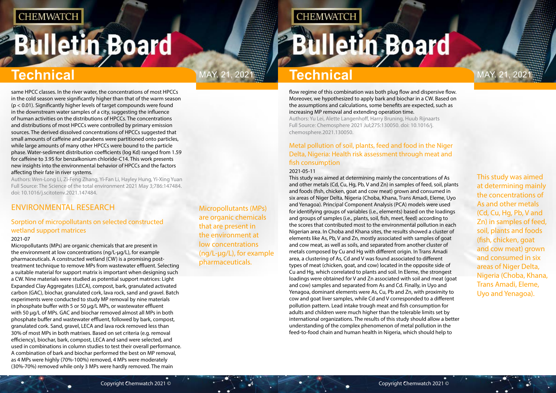# <span id="page-2-0"></span>**Bulletin Board**

Micropollutants (MPs) are organic chemicals that are present in the environment at low concentrations (ng/L-μg/L), for example pharmaceuticals.

# 2021. Technical

**CHEMWATCH** 

This study was aimed at determining mainly the concentrations of As and other metals (Cd, Cu, Hg, Pb, V and Zn) in samples of feed, soil, plants and foods (fish, chicken, goat and cow meat) grown and consumed in six areas of Niger Delta, Nigeria (Choba, Khana, Trans Amadi, Eleme, Uyo and Yenagoa).

# **Technical Technical**

same HPCC classes. In the river water, the concentrations of most HPCCs in the cold season were significantly higher than that of the warm season (p < 0.01). Significantly higher levels of target compounds were found in the downstream water samples of a city, suggesting the influence of human activities on the distributions of HPCCs. The concentrations and distributions of most HPCCs were controlled by primary emission sources. The derived dissolved concentrations of HPCCs suggested that small amounts of caffeine and parabens were partitioned onto particles, while large amounts of many other HPCCs were bound to the particle phase. Water-sediment distribution coefficients (log Kd) ranged from 1.59 for caffeine to 3.95 for benzalkonium chloride-C14. This work presents new insights into the environmental behavior of HPCCs and the factors affecting their fate in river systems.

Authors: Wen-Long Li, Zi-Feng Zhang, Yi-Fan Li, Hayley Hung, Yi-Xing Yuan Full Source: The Science of the total environment 2021 May 3;786:147484. doi: 10.1016/j.scitotenv.2021.147484.

## ENVIRONMENTAL RESEARCH

### Sorption of micropollutants on selected constructed wetland support matrices

#### 2021-07

Micropollutants (MPs) are organic chemicals that are present in the environment at low concentrations (ng/L-μg/L), for example pharmaceuticals. A constructed wetland (CW) is a promising posttreatment technique to remove MPs from wastewater effluent. Selecting a suitable material for support matrix is important when designing such a CW. Nine materials were studied as potential support matrices: Light Expanded Clay Aggregates (LECA), compost, bark, granulated activated carbon (GAC), biochar, granulated cork, lava rock, sand and gravel. Batch experiments were conducted to study MP removal by nine materials in phosphate buffer with 5 or 50 μg/L MPs, or wastewater effluent with 50 μg/L of MPs. GAC and biochar removed almost all MPs in both phosphate buffer and wastewater effluent, followed by bark, compost, granulated cork. Sand, gravel, LECA and lava rock removed less than 30% of most MPs in both matrixes. Based on set criteria (e.g. removal efficiency), biochar, bark, compost, LECA and sand were selected, and used in combinations in column studies to test their overall performance. A combination of bark and biochar performed the best on MP removal, as 4 MPs were highly (70%-100%) removed, 4 MPs were moderately (30%-70%) removed while only 3 MPs were hardly removed. The main

flow regime of this combination was both plug flow and dispersive flow. Moreover, we hypothesized to apply bark and biochar in a CW. Based on the assumptions and calculations, some benefits are expected, such as increasing MP removal and extending operation time. Authors: Yu Lei, Alette Langenhoff, Harry Bruning, Huub Rijnaarts Full Source: Chemosphere 2021 Jul;275:130050. doi: 10.1016/j. chemosphere.2021.130050.

### Metal pollution of soil, plants, feed and food in the Niger Delta, Nigeria: Health risk assessment through meat and fish consumption

#### 2021-05-11

This study was aimed at determining mainly the concentrations of As and other metals (Cd, Cu, Hg, Pb, V and Zn) in samples of feed, soil, plants and foods (fish, chicken, goat and cow meat) grown and consumed in six areas of Niger Delta, Nigeria (Choba, Khana, Trans Amadi, Eleme, Uyo and Yenagoa). Principal Component Analysis (PCA) models were used for identifying groups of variables (i.e., elements) based on the loadings and groups of samples (i.e., plants, soil, fish, meet, feed) according to the scores that contributed most to the environmental pollution in each Nigerian area. In Choba and Khana sites, the results showed a cluster of elements like As, Pb, V and Zn, mostly associated with samples of goat and cow meat, as well as soils, and separated from another cluster of metals composed by Cu and Hg with different origin. In Trans Amadi area, a clustering of As, Cd and V was found associated to different types of meat (chicken, goat, and cow) located in the opposite side of Cu and Hg, which correlated to plants and soil. In Eleme, the strongest loadings were obtained for V and Zn associated with soil and meat (goat and cow) samples and separated from As and Cd. Finally, in Uyo and Yenagoa, dominant elements were As, Cu, Pb and Zn, with proximity to cow and goat liver samples, while Cd and V corresponded to a different pollution pattern. Lead intake trough meat and fish consumption for adults and children were much higher than the tolerable limits set by international organizations. The results of this study should allow a better understanding of the complex phenomenon of metal pollution in the feed-to-food chain and human health in Nigeria, which should help to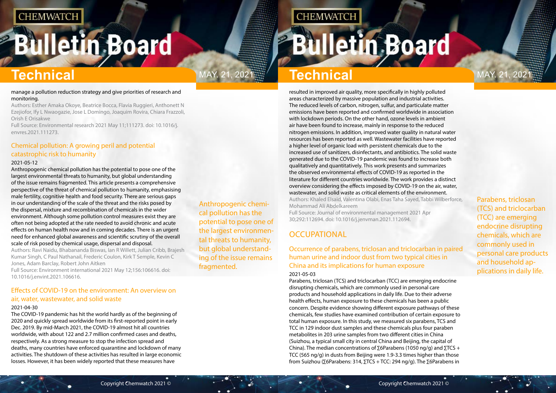# <span id="page-3-0"></span>**Bulletin Board**

Anthropogenic chemical pollution has the potential to pose one of the largest environmental threats to humanity, but global understanding of the issue remains fragmented.

# 2021. Technical

**CHEMWATCH** 

Parabens, triclosan (TCS) and triclocarban (TCC) are emerging endocrine disrupting chemicals, which are commonly used in personal care products and household applications in daily life.

# **Technical Technical**

#### manage a pollution reduction strategy and give priorities of research and monitoring.

Authors: Esther Amaka Okoye, Beatrice Bocca, Flavia Ruggieri, Anthonett N Ezejiofor, Ify L Nwaogazie, Jose L Domingo, Joaquim Rovira, Chiara Frazzoli, Orish E Orisakwe

Full Source: Environmental research 2021 May 11;111273. doi: 10.1016/j. envres.2021.111273.

### Chemical pollution: A growing peril and potential catastrophic risk to humanity

#### 2021-05-12

Anthropogenic chemical pollution has the potential to pose one of the largest environmental threats to humanity, but global understanding of the issue remains fragmented. This article presents a comprehensive perspective of the threat of chemical pollution to humanity, emphasising male fertility, cognitive health and food security. There are serious gaps in our understanding of the scale of the threat and the risks posed by the dispersal, mixture and recombination of chemicals in the wider environment. Although some pollution control measures exist they are often not being adopted at the rate needed to avoid chronic and acute effects on human health now and in coming decades. There is an urgent need for enhanced global awareness and scientific scrutiny of the overall scale of risk posed by chemical usage, dispersal and disposal.

Authors: Ravi Naidu, Bhabananda Biswas, Ian R Willett, Julian Cribb, Brajesh Kumar Singh, C Paul Nathanail, Frederic Coulon, Kirk T Semple, Kevin C Jones, Adam Barclay, Robert John Aitken

Full Source: Environment international 2021 May 12;156:106616. doi: 10.1016/j.envint.2021.106616.

#### Effects of COVID-19 on the environment: An overview on air, water, wastewater, and solid waste

#### 2021-04-30

The COVID-19 pandemic has hit the world hardly as of the beginning of 2020 and quickly spread worldwide from its first-reported point in early Dec. 2019. By mid-March 2021, the COVID-19 almost hit all countries worldwide, with about 122 and 2.7 million confirmed cases and deaths, respectively. As a strong measure to stop the infection spread and deaths, many countries have enforced quarantine and lockdown of many activities. The shutdown of these activities has resulted in large economic losses. However, it has been widely reported that these measures have

resulted in improved air quality, more specifically in highly polluted areas characterized by massive population and industrial activities. The reduced levels of carbon, nitrogen, sulfur, and particulate matter emissions have been reported and confirmed worldwide in association with lockdown periods. On the other hand, ozone levels in ambient air have been found to increase, mainly in response to the reduced nitrogen emissions. In addition, improved water quality in natural water resources has been reported as well. Wastewater facilities have reported a higher level of organic load with persistent chemicals due to the increased use of sanitizers, disinfectants, and antibiotics. The solid waste generated due to the COVID-19 pandemic was found to increase both qualitatively and quantitatively. This work presents and summarizes the observed environmental effects of COVID-19 as reported in the literature for different countries worldwide. The work provides a distinct overview considering the effects imposed by COVID-19 on the air, water, wastewater, and solid waste as critical elements of the environment. Authors: Khaled Elsaid, Valentina Olabi, Enas Taha Sayed, Tabbi Wilberforce, Mohammad Ali Abdelkareem

Full Source: Journal of environmental management 2021 Apr 30;292:112694. doi: 10.1016/j.jenvman.2021.112694.

### **OCCUPATIONAL**

#### Occurrence of parabens, triclosan and triclocarban in paired human urine and indoor dust from two typical cities in China and its implications for human exposure 2021-05-03

Parabens, triclosan (TCS) and triclocarban (TCC) are emerging endocrine disrupting chemicals, which are commonly used in personal care products and household applications in daily life. Due to their adverse health effects, human exposure to these chemicals has been a public concern. Despite evidence showing different exposure pathways of these chemicals, few studies have examined contribution of certain exposure to total human exposure. In this study, we measured six parabens, TCS and TCC in 129 indoor dust samples and these chemicals plus four paraben metabolites in 203 urine samples from two different cities in China (Suizhou, a typical small city in central China and Beijing, the capital of China). The median concentrations of ∑6Parabens (1050 ng/g) and  $\Sigma$ TCS + TCC (565 ng/g) in dusts from Beijing were 1.9-3.3 times higher than those from Suizhou (∑6Parabens: 314, ∑TCS + TCC: 294 ng/g). The ∑6Parabens in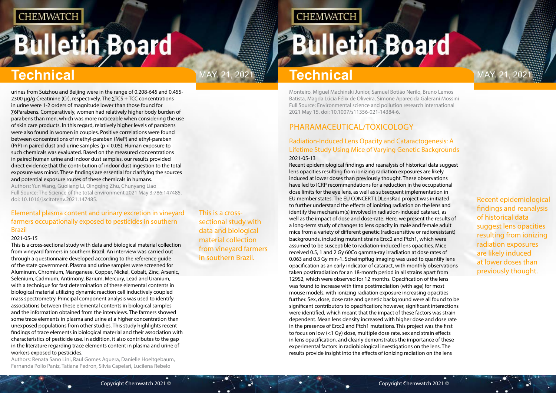# <span id="page-4-0"></span>**Bulletin Board**

This is a crosssectional study with data and biological material collection from vineyard farmers in southern Brazil.

# **Technical** MAY. 21, 2021. **Technical** MAY. 21, 2021

Recent epidemiological findings and reanalysis of historical data suggest lens opacities resulting from ionizing radiation exposures are likely induced at lower doses than previously thought.

urines from Suizhou and Beijing were in the range of 0.208-645 and 0.455- 2300 μg/g Creatinine (Cr), respectively. The ∑TCS + TCC concentrations in urine were 1-2 orders of magnitude lower than those found for ∑6Parabens. Comparatively, women had relatively higher body burden of parabens than men, which was more noticeable when considering the use of skin care products. In this regard, relatively higher levels of parabens were also found in women in couples. Positive correlations were found between concentrations of methyl-paraben (MeP) and ethyl-paraben (PrP) in paired dust and urine samples ( $p < 0.05$ ). Human exposure to such chemicals was evaluated. Based on the measured concentrations in paired human urine and indoor dust samples, our results provided direct evidence that the contribution of indoor dust ingestion to the total exposure was minor. These findings are essential for clarifying the sources and potential exposure routes of these chemicals in humans.

Authors: Yun Wang, Guoliang Li, Qingqing Zhu, Chunyang Liao Full Source: The Science of the total environment 2021 May 3;786:147485. doi: 10.1016/j.scitotenv.2021.147485.

#### Elemental plasma content and urinary excretion in vineyard farmers occupationally exposed to pesticides in southern Brazil

#### 2021-05-15

This is a cross-sectional study with data and biological material collection from vineyard farmers in southern Brazil. An interview was carried out through a questionnaire developed according to the reference guide of the state government. Plasma and urine samples were screened for Aluminum, Chromium, Manganese, Copper, Nickel, Cobalt, Zinc, Arsenic, Selenium, Cadmium, Antimony, Barium, Mercury, Lead and Uranium, with a technique for fast determination of these elemental contents in biological material utilizing dynamic reaction cell inductively coupled mass spectrometry. Principal component analysis was used to identify associations between these elemental contents in biological samples and the information obtained from the interviews. The farmers showed some trace elements in plasma and urine at a higher concentration than unexposed populations from other studies. This study highlights recent findings of trace elements in biological material and their association with characteristics of pesticide use. In addition, it also contributes to the gap in the literature regarding trace elements content in plasma and urine of workers exposed to pesticides.

Authors: Renata Sano Lini, Raul Gomes Aguera, Danielle Hoeltgebaum, Fernanda Pollo Paniz, Tatiana Pedron, Silvia Capelari, Lucilena Rebelo

Monteiro, Miguel Machinski Junior, Samuel Botião Nerilo, Bruno Lemos Batista, Magda Lúcia Félix de Oliveira, Simone Aparecida Galerani Mossini Full Source: Environmental science and pollution research international 2021 May 15. doi: 10.1007/s11356-021-14384-6.

## PHARAMACEUTICAL/TOXICOLOGY

**CHEMWATCH** 

#### Radiation-Induced Lens Opacity and Cataractogenesis: A Lifetime Study Using Mice of Varying Genetic Backgrounds 2021-05-13

Recent epidemiological findings and reanalysis of historical data suggest lens opacities resulting from ionizing radiation exposures are likely induced at lower doses than previously thought. These observations have led to ICRP recommendations for a reduction in the occupational dose limits for the eye lens, as well as subsequent implementation in EU member states. The EU CONCERT LDLensRad project was initiated to further understand the effects of ionizing radiation on the lens and identify the mechanism(s) involved in radiation-induced cataract, as well as the impact of dose and dose-rate. Here, we present the results of a long-term study of changes to lens opacity in male and female adult mice from a variety of different genetic (radiosensitive or radioresistant) backgrounds, including mutant strains Ercc2 and Ptch1, which were assumed to be susceptible to radiation-induced lens opacities. Mice received 0.5, 1 and 2 Gy 60Co gamma-ray irradiation at dose rates of 0.063 and 0.3 Gy min-1. Scheimpflug imaging was used to quantify lens opacification as an early indicator of cataract, with monthly observations taken postirradiation for an 18-month period in all strains apart from 129S2, which were observed for 12 months. Opacification of the lens was found to increase with time postirradiation (with age) for most mouse models, with ionizing radiation exposure increasing opacities further. Sex, dose, dose rate and genetic background were all found to be significant contributors to opacification; however, significant interactions were identified, which meant that the impact of these factors was strain dependent. Mean lens density increased with higher dose and dose rate in the presence of Ercc2 and Ptch1 mutations. This project was the first to focus on low (<1 Gy) dose, multiple dose rate, sex and strain effects in lens opacification, and clearly demonstrates the importance of these experimental factors in radiobiological investigations on the lens. The results provide insight into the effects of ionizing radiation on the lens